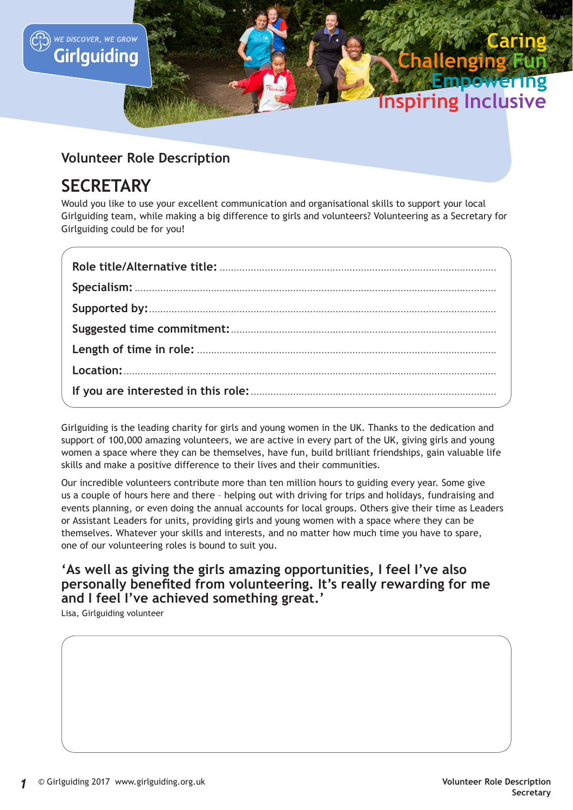

# **Volunteer Role Description**

# **SECRETARY**

Would you like to use your excellent communication and organisational skills to support your local Girlguiding team, while making a big difference to girls and volunteers? Volunteering as a Secretary for Girlguiding could be for you!

Girlguiding is the leading charity for girls and young women in the UK. Thanks to the dedication and support of 100,000 amazing volunteers, we are active in every part of the UK, giving girls and young women a space where they can be themselves, have fun, build brilliant friendships, gain valuable life skills and make a positive difference to their lives and their communities.

Our incredible volunteers contribute more than ten million hours to guiding every year. Some give us a couple of hours here and there – helping out with driving for trips and holidays, fundraising and events planning, or even doing the annual accounts for local groups. Others give their time as Leaders or Assistant Leaders for units, providing girls and young women with a space where they can be themselves. Whatever your skills and interests, and no matter how much time you have to spare, one of our volunteering roles is bound to suit you.

# **'As well as giving the girls amazing opportunities, I feel I've also personally benefited from volunteering. It's really rewarding for me and I feel I've achieved something great.'**

Lisa, Girlguiding volunteer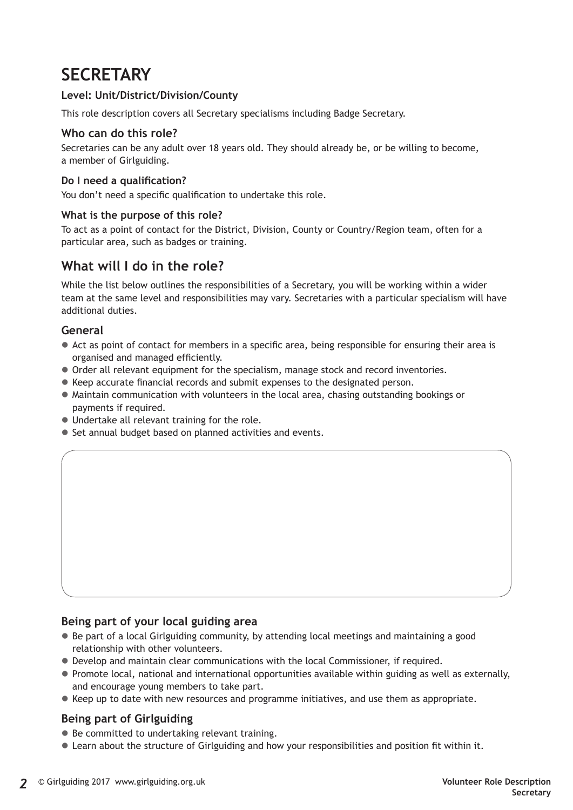# **SECRETARY**

### **Level: Unit/District/Division/County**

This role description covers all Secretary specialisms including Badge Secretary.

#### **Who can do this role?**

Secretaries can be any adult over 18 years old. They should already be, or be willing to become, a member of Girlguiding.

#### **Do I need a qualification?**

You don't need a specific qualification to undertake this role.

#### **What is the purpose of this role?**

To act as a point of contact for the District, Division, County or Country/Region team, often for a particular area, such as badges or training.

## **What will I do in the role?**

While the list below outlines the responsibilities of a Secretary, you will be working within a wider team at the same level and responsibilities may vary. Secretaries with a particular specialism will have additional duties.

#### **General**

- $\bullet$  Act as point of contact for members in a specific area, being responsible for ensuring their area is organised and managed efficiently.
- $\bullet$  Order all relevant equipment for the specialism, manage stock and record inventories.
- Keep accurate financial records and submit expenses to the designated person.
- $\bullet$  Maintain communication with volunteers in the local area, chasing outstanding bookings or payments if required.
- $\bullet$  Undertake all relevant training for the role.
- Set annual budget based on planned activities and events.

#### **Being part of your local guiding area**

- $\bullet$  Be part of a local Girlguiding community, by attending local meetings and maintaining a good relationship with other volunteers.
- Develop and maintain clear communications with the local Commissioner, if required.
- Promote local, national and international opportunities available within guiding as well as externally, and encourage young members to take part.
- Keep up to date with new resources and programme initiatives, and use them as appropriate.

## **Being part of Girlguiding**

- $\bullet$  Be committed to undertaking relevant training.
- Learn about the structure of Girlguiding and how your responsibilities and position fit within it.